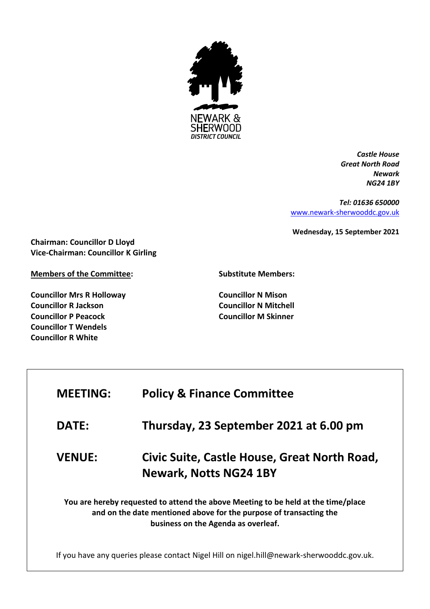

*Castle House Great North Road Newark NG24 1BY*

*Tel: 01636 650000* [www.newark-sherwooddc.gov.uk](http://www.newark-sherwooddc.gov.uk/)

**Wednesday, 15 September 2021**

**Chairman: Councillor D Lloyd Vice-Chairman: Councillor K Girling**

**Members of the Committee:**

**Councillor Mrs R Holloway Councillor R Jackson Councillor P Peacock Councillor T Wendels Councillor R White**

**Substitute Members:**

**Councillor N Mison Councillor N Mitchell Councillor M Skinner**

| <b>MEETING:</b>                                                                                                                                                                                | <b>Policy &amp; Finance Committee</b>                                                     |  |
|------------------------------------------------------------------------------------------------------------------------------------------------------------------------------------------------|-------------------------------------------------------------------------------------------|--|
| <b>DATE:</b>                                                                                                                                                                                   | Thursday, 23 September 2021 at 6.00 pm                                                    |  |
| <b>VENUE:</b>                                                                                                                                                                                  | Civic Suite, Castle House, Great North Road,<br><b>Newark, Notts NG24 1BY</b>             |  |
| You are hereby requested to attend the above Meeting to be held at the time/place<br>and on the date mentioned above for the purpose of transacting the<br>business on the Agenda as overleaf. |                                                                                           |  |
|                                                                                                                                                                                                | If you have any queries please contact Nigel Hill on nigel.hill@newark-sherwooddc.gov.uk. |  |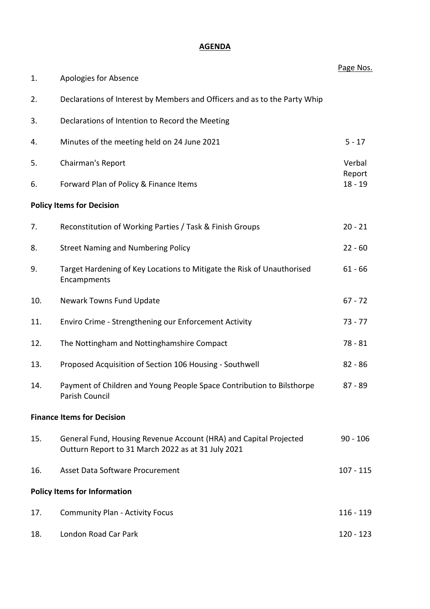## **AGENDA**

|     |                                                                                                                         | Page Nos.           |
|-----|-------------------------------------------------------------------------------------------------------------------------|---------------------|
| 1.  | Apologies for Absence                                                                                                   |                     |
| 2.  | Declarations of Interest by Members and Officers and as to the Party Whip                                               |                     |
| 3.  | Declarations of Intention to Record the Meeting                                                                         |                     |
| 4.  | Minutes of the meeting held on 24 June 2021                                                                             | $5 - 17$            |
| 5.  | Chairman's Report                                                                                                       | Verbal              |
| 6.  | Forward Plan of Policy & Finance Items                                                                                  | Report<br>$18 - 19$ |
|     | <b>Policy Items for Decision</b>                                                                                        |                     |
| 7.  | Reconstitution of Working Parties / Task & Finish Groups                                                                | $20 - 21$           |
| 8.  | <b>Street Naming and Numbering Policy</b>                                                                               | $22 - 60$           |
| 9.  | Target Hardening of Key Locations to Mitigate the Risk of Unauthorised<br>Encampments                                   | $61 - 66$           |
| 10. | Newark Towns Fund Update                                                                                                | $67 - 72$           |
| 11. | Enviro Crime - Strengthening our Enforcement Activity                                                                   | $73 - 77$           |
| 12. | The Nottingham and Nottinghamshire Compact                                                                              | $78 - 81$           |
| 13. | Proposed Acquisition of Section 106 Housing - Southwell                                                                 | $82 - 86$           |
| 14. | Payment of Children and Young People Space Contribution to Bilsthorpe<br>Parish Council                                 | $87 - 89$           |
|     | <b>Finance Items for Decision</b>                                                                                       |                     |
| 15. | General Fund, Housing Revenue Account (HRA) and Capital Projected<br>Outturn Report to 31 March 2022 as at 31 July 2021 | $90 - 106$          |
| 16. | Asset Data Software Procurement                                                                                         | $107 - 115$         |
|     | <b>Policy Items for Information</b>                                                                                     |                     |
| 17. | <b>Community Plan - Activity Focus</b>                                                                                  | $116 - 119$         |
| 18. | London Road Car Park                                                                                                    | 120 - 123           |